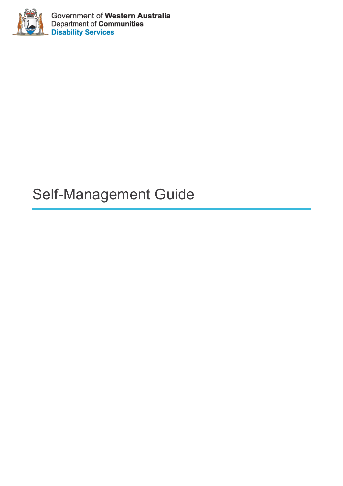

Government of Western Australia<br>Department of Communities **Disability Services** 

# Self-Management Guide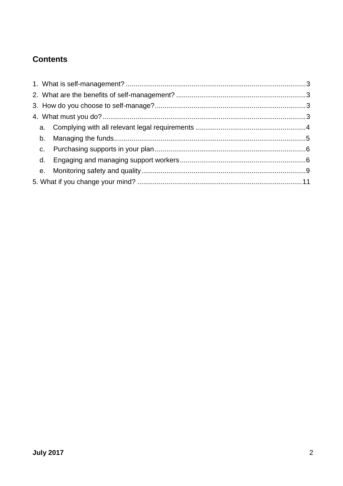# **Contents**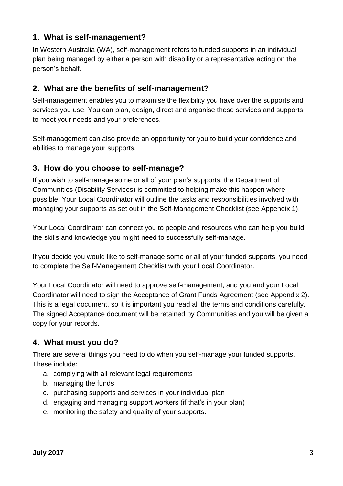# **1. What is self-management?**

In Western Australia (WA), self-management refers to funded supports in an individual plan being managed by either a person with disability or a representative acting on the person's behalf.

# **2. What are the benefits of self-management?**

Self-management enables you to maximise the flexibility you have over the supports and services you use. You can plan, design, direct and organise these services and supports to meet your needs and your preferences.

Self-management can also provide an opportunity for you to build your confidence and abilities to manage your supports.

# **3. How do you choose to self-manage?**

If you wish to self-manage some or all of your plan's supports, the Department of Communities (Disability Services) is committed to helping make this happen where possible. Your Local Coordinator will outline the tasks and responsibilities involved with managing your supports as set out in the Self-Management Checklist (see Appendix 1).

Your Local Coordinator can connect you to people and resources who can help you build the skills and knowledge you might need to successfully self-manage.

If you decide you would like to self-manage some or all of your funded supports, you need to complete the Self-Management Checklist with your Local Coordinator.

Your Local Coordinator will need to approve self-management, and you and your Local Coordinator will need to sign the Acceptance of Grant Funds Agreement (see Appendix 2). This is a legal document, so it is important you read all the terms and conditions carefully. The signed Acceptance document will be retained by Communities and you will be given a copy for your records.

# **4. What must you do?**

There are several things you need to do when you self-manage your funded supports. These include:

- a. complying with all relevant legal requirements
- b. managing the funds
- c. purchasing supports and services in your individual plan
- d. engaging and managing support workers (if that's in your plan)
- e. monitoring the safety and quality of your supports.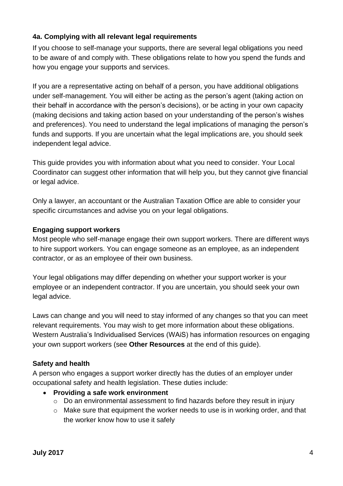#### **4a. Complying with all relevant legal requirements**

If you choose to self-manage your supports, there are several legal obligations you need to be aware of and comply with. These obligations relate to how you spend the funds and how you engage your supports and services.

If you are a representative acting on behalf of a person, you have additional obligations under self-management. You will either be acting as the person's agent (taking action on their behalf in accordance with the person's decisions), or be acting in your own capacity (making decisions and taking action based on your understanding of the person's wishes and preferences). You need to understand the legal implications of managing the person's funds and supports. If you are uncertain what the legal implications are, you should seek independent legal advice.

This guide provides you with information about what you need to consider. Your Local Coordinator can suggest other information that will help you, but they cannot give financial or legal advice.

Only a lawyer, an accountant or the Australian Taxation Office are able to consider your specific circumstances and advise you on your legal obligations.

#### **Engaging support workers**

Most people who self-manage engage their own support workers. There are different ways to hire support workers. You can engage someone as an employee, as an independent contractor, or as an employee of their own business.

Your legal obligations may differ depending on whether your support worker is your employee or an independent contractor. If you are uncertain, you should seek your own legal advice.

Laws can change and you will need to stay informed of any changes so that you can meet relevant requirements. You may wish to get more information about these obligations. Western Australia's Individualised Services (WAiS) has information resources on engaging your own support workers (see **Other Resources** at the end of this guide).

#### **Safety and health**

A person who engages a support worker directly has the duties of an employer under occupational safety and health legislation. These duties include:

- **Providing a safe work environment**
	- o Do an environmental assessment to find hazards before they result in injury
	- o Make sure that equipment the worker needs to use is in working order, and that the worker know how to use it safely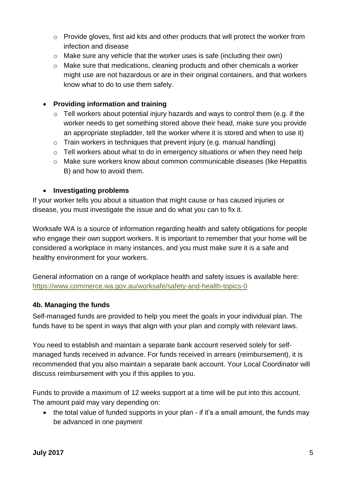- o Provide gloves, first aid kits and other products that will protect the worker from infection and disease
- o Make sure any vehicle that the worker uses is safe (including their own)
- o Make sure that medications, cleaning products and other chemicals a worker might use are not hazardous or are in their original containers, and that workers know what to do to use them safely.

#### **Providing information and training**

- $\circ$  Tell workers about potential injury hazards and ways to control them (e.g. if the worker needs to get something stored above their head, make sure you provide an appropriate stepladder, tell the worker where it is stored and when to use it)
- $\circ$  Train workers in techniques that prevent injury (e.g. manual handling)
- o Tell workers about what to do in emergency situations or when they need help
- o Make sure workers know about common communicable diseases (like Hepatitis B) and how to avoid them.

#### **Investigating problems**

If your worker tells you about a situation that might cause or has caused injuries or disease, you must investigate the issue and do what you can to fix it.

Worksafe WA is a source of information regarding health and safety obligations for people who engage their own support workers. It is important to remember that your home will be considered a workplace in many instances, and you must make sure it is a safe and healthy environment for your workers.

General information on a range of workplace health and safety issues is available here: <https://www.commerce.wa.gov.au/worksafe/safety-and-health-topics-0>

#### **4b. Managing the funds**

Self-managed funds are provided to help you meet the goals in your individual plan. The funds have to be spent in ways that align with your plan and comply with relevant laws.

You need to establish and maintain a separate bank account reserved solely for selfmanaged funds received in advance. For funds received in arrears (reimbursement), it is recommended that you also maintain a separate bank account. Your Local Coordinator will discuss reimbursement with you if this applies to you.

Funds to provide a maximum of 12 weeks support at a time will be put into this account. The amount paid may vary depending on:

• the total value of funded supports in your plan - if it's a small amount, the funds may be advanced in one payment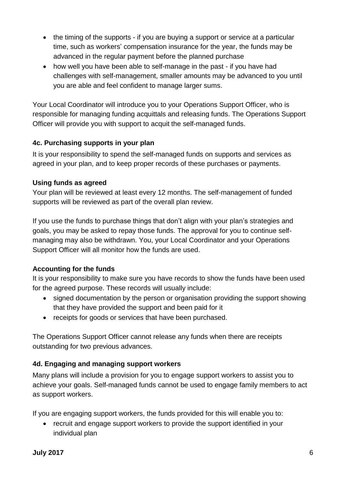- the timing of the supports if you are buying a support or service at a particular time, such as workers' compensation insurance for the year, the funds may be advanced in the regular payment before the planned purchase
- how well you have been able to self-manage in the past if you have had challenges with self-management, smaller amounts may be advanced to you until you are able and feel confident to manage larger sums.

Your Local Coordinator will introduce you to your Operations Support Officer, who is responsible for managing funding acquittals and releasing funds. The Operations Support Officer will provide you with support to acquit the self-managed funds.

## **4c. Purchasing supports in your plan**

It is your responsibility to spend the self-managed funds on supports and services as agreed in your plan, and to keep proper records of these purchases or payments.

# **Using funds as agreed**

Your plan will be reviewed at least every 12 months. The self-management of funded supports will be reviewed as part of the overall plan review.

If you use the funds to purchase things that don't align with your plan's strategies and goals, you may be asked to repay those funds. The approval for you to continue selfmanaging may also be withdrawn. You, your Local Coordinator and your Operations Support Officer will all monitor how the funds are used.

# **Accounting for the funds**

It is your responsibility to make sure you have records to show the funds have been used for the agreed purpose. These records will usually include:

- signed documentation by the person or organisation providing the support showing that they have provided the support and been paid for it
- receipts for goods or services that have been purchased.

The Operations Support Officer cannot release any funds when there are receipts outstanding for two previous advances.

# **4d. Engaging and managing support workers**

Many plans will include a provision for you to engage support workers to assist you to achieve your goals. Self-managed funds cannot be used to engage family members to act as support workers.

If you are engaging support workers, the funds provided for this will enable you to:

 recruit and engage support workers to provide the support identified in your individual plan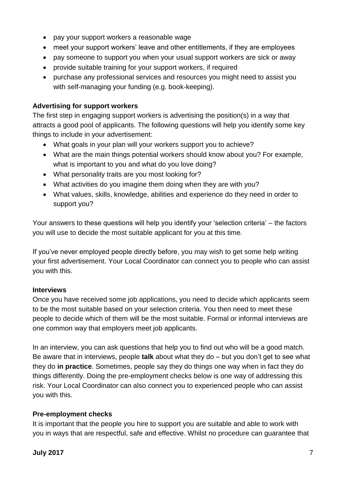- pay your support workers a reasonable wage
- meet your support workers' leave and other entitlements, if they are employees
- pay someone to support you when your usual support workers are sick or away
- provide suitable training for your support workers, if required
- purchase any professional services and resources you might need to assist you with self-managing your funding (e.g. book-keeping).

## **Advertising for support workers**

The first step in engaging support workers is advertising the position(s) in a way that attracts a good pool of applicants. The following questions will help you identify some key things to include in your advertisement:

- What goals in your plan will your workers support you to achieve?
- What are the main things potential workers should know about you? For example, what is important to you and what do you love doing?
- What personality traits are you most looking for?
- What activities do you imagine them doing when they are with you?
- What values, skills, knowledge, abilities and experience do they need in order to support you?

Your answers to these questions will help you identify your 'selection criteria' – the factors you will use to decide the most suitable applicant for you at this time.

If you've never employed people directly before, you may wish to get some help writing your first advertisement. Your Local Coordinator can connect you to people who can assist you with this.

# **Interviews**

Once you have received some job applications, you need to decide which applicants seem to be the most suitable based on your selection criteria. You then need to meet these people to decide which of them will be the most suitable. Formal or informal interviews are one common way that employers meet job applicants.

In an interview, you can ask questions that help you to find out who will be a good match. Be aware that in interviews, people **talk** about what they do – but you don't get to see what they do **in practice**. Sometimes, people say they do things one way when in fact they do things differently. Doing the pre-employment checks below is one way of addressing this risk. Your Local Coordinator can also connect you to experienced people who can assist you with this.

## **Pre-employment checks**

It is important that the people you hire to support you are suitable and able to work with you in ways that are respectful, safe and effective. Whilst no procedure can guarantee that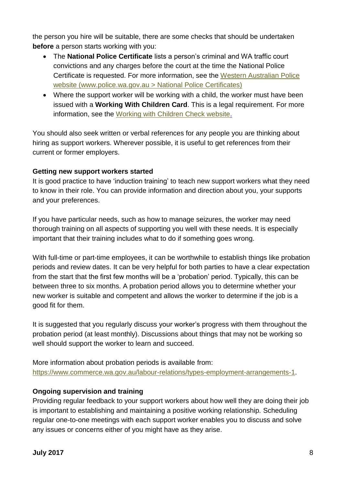the person you hire will be suitable, there are some checks that should be undertaken **before** a person starts working with you:

- The **National Police Certificate** lists a person's criminal and WA traffic court convictions and any charges before the court at the time the National Police Certificate is requested. For more information, see the [Western Australian Police](https://www.police.wa.gov.au/Police-Direct/National-Police-Certificates)  [website \(www.police.wa.gov.au > National Police Certificates\)](https://www.police.wa.gov.au/Police-Direct/National-Police-Certificates)
- Where the support worker will be working with a child, the worker must have been issued with a **Working With Children Card**. This is a legal requirement. For more information, see the [Working with Children Check website.](https://workingwithchildren.wa.gov.au/)

You should also seek written or verbal references for any people you are thinking about hiring as support workers. Wherever possible, it is useful to get references from their current or former employers.

#### **Getting new support workers started**

It is good practice to have 'induction training' to teach new support workers what they need to know in their role. You can provide information and direction about you, your supports and your preferences.

If you have particular needs, such as how to manage seizures, the worker may need thorough training on all aspects of supporting you well with these needs. It is especially important that their training includes what to do if something goes wrong.

With full-time or part-time employees, it can be worthwhile to establish things like probation periods and review dates. It can be very helpful for both parties to have a clear expectation from the start that the first few months will be a 'probation' period. Typically, this can be between three to six months. A probation period allows you to determine whether your new worker is suitable and competent and allows the worker to determine if the job is a good fit for them.

It is suggested that you regularly discuss your worker's progress with them throughout the probation period (at least monthly). Discussions about things that may not be working so well should support the worker to learn and succeed.

More information about probation periods is available from: [https://www.commerce.wa.gov.au/labour-relations/types-employment-arrangements-1.](https://www.commerce.wa.gov.au/labour-relations/types-employment-arrangements-1)

## **Ongoing supervision and training**

Providing regular feedback to your support workers about how well they are doing their job is important to establishing and maintaining a positive working relationship. Scheduling regular one-to-one meetings with each support worker enables you to discuss and solve any issues or concerns either of you might have as they arise.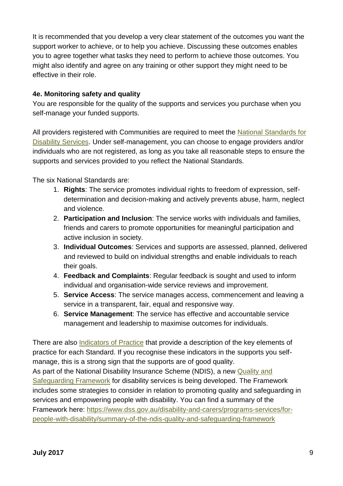It is recommended that you develop a very clear statement of the outcomes you want the support worker to achieve, or to help you achieve. Discussing these outcomes enables you to agree together what tasks they need to perform to achieve those outcomes. You might also identify and agree on any training or other support they might need to be effective in their role.

### **4e. Monitoring safety and quality**

You are responsible for the quality of the supports and services you purchase when you self-manage your funded supports.

All providers registered with Communities are required to meet the [National Standards for](https://www.dss.gov.au/our-responsibilities/disability-and-carers/standards-and-quality-assurance/national-standards-for-disability-services)  [Disability Services.](https://www.dss.gov.au/our-responsibilities/disability-and-carers/standards-and-quality-assurance/national-standards-for-disability-services) Under self-management, you can choose to engage providers and/or individuals who are not registered, as long as you take all reasonable steps to ensure the supports and services provided to you reflect the National Standards.

The six National Standards are:

- 1. **Rights**: The service promotes individual rights to freedom of expression, selfdetermination and decision-making and actively prevents abuse, harm, neglect and violence.
- 2. **Participation and Inclusion**: The service works with individuals and families, friends and carers to promote opportunities for meaningful participation and active inclusion in society.
- 3. **Individual Outcomes**: Services and supports are assessed, planned, delivered and reviewed to build on individual strengths and enable individuals to reach their goals.
- 4. **Feedback and Complaints**: Regular feedback is sought and used to inform individual and organisation-wide service reviews and improvement.
- 5. **Service Access**: The service manages access, commencement and leaving a service in a transparent, fair, equal and responsive way.
- 6. **Service Management**: The service has effective and accountable service management and leadership to maximise outcomes for individuals.

There are also [Indicators of Practice](https://www.dss.gov.au/our-responsibilities/disability-and-carers/publications-articles/national-disability-advocacy-program/national-standards-for-disability-services-indicators-of-practice-and-examples-of-evidence-for-ndap-agencies) that provide a description of the key elements of practice for each Standard. If you recognise these indicators in the supports you selfmanage, this is a strong sign that the supports are of good quality. As part of the National Disability Insurance Scheme (NDIS), a new [Quality and](https://www.dss.gov.au/disability-and-carers/programs-services/for-people-with-disability/ndis-quality-and-safeguarding-framework-0)  [Safeguarding Framework](https://www.dss.gov.au/disability-and-carers/programs-services/for-people-with-disability/ndis-quality-and-safeguarding-framework-0) for disability services is being developed. The Framework includes some strategies to consider in relation to promoting quality and safeguarding in services and empowering people with disability. You can find a summary of the Framework here: [https://www.dss.gov.au/disability-and-carers/programs-services/for](https://www.dss.gov.au/disability-and-carers/programs-services/for-people-with-disability/summary-of-the-ndis-quality-and-safeguarding-framework)[people-with-disability/summary-of-the-ndis-quality-and-safeguarding-framework](https://www.dss.gov.au/disability-and-carers/programs-services/for-people-with-disability/summary-of-the-ndis-quality-and-safeguarding-framework)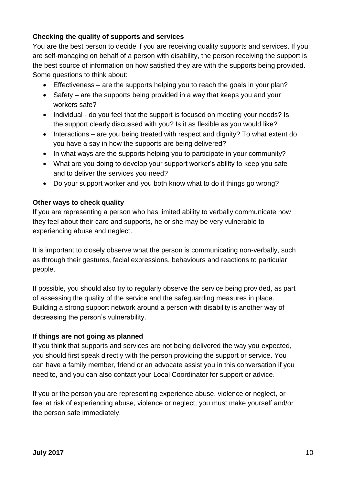## **Checking the quality of supports and services**

You are the best person to decide if you are receiving quality supports and services. If you are self-managing on behalf of a person with disability, the person receiving the support is the best source of information on how satisfied they are with the supports being provided. Some questions to think about:

- Effectiveness are the supports helping you to reach the goals in your plan?
- Safety are the supports being provided in a way that keeps you and your workers safe?
- Individual do you feel that the support is focused on meeting your needs? Is the support clearly discussed with you? Is it as flexible as you would like?
- Interactions are you being treated with respect and dignity? To what extent do you have a say in how the supports are being delivered?
- In what ways are the supports helping you to participate in your community?
- What are you doing to develop your support worker's ability to keep you safe and to deliver the services you need?
- Do your support worker and you both know what to do if things go wrong?

#### **Other ways to check quality**

If you are representing a person who has limited ability to verbally communicate how they feel about their care and supports, he or she may be very vulnerable to experiencing abuse and neglect.

It is important to closely observe what the person is communicating non-verbally, such as through their gestures, facial expressions, behaviours and reactions to particular people.

If possible, you should also try to regularly observe the service being provided, as part of assessing the quality of the service and the safeguarding measures in place. Building a strong support network around a person with disability is another way of decreasing the person's vulnerability.

#### **If things are not going as planned**

If you think that supports and services are not being delivered the way you expected, you should first speak directly with the person providing the support or service. You can have a family member, friend or an advocate assist you in this conversation if you need to, and you can also contact your Local Coordinator for support or advice.

If you or the person you are representing experience abuse, violence or neglect, or feel at risk of experiencing abuse, violence or neglect, you must make yourself and/or the person safe immediately.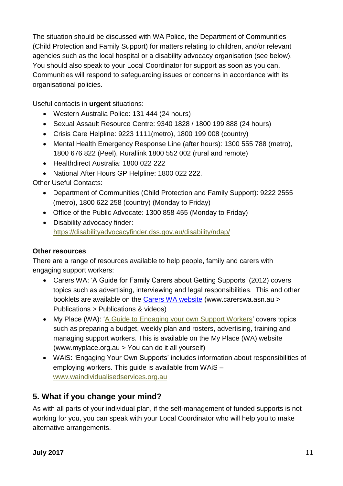The situation should be discussed with WA Police, the Department of Communities (Child Protection and Family Support) for matters relating to children, and/or relevant agencies such as the local hospital or a disability advocacy organisation (see below). You should also speak to your Local Coordinator for support as soon as you can. Communities will respond to safeguarding issues or concerns in accordance with its organisational policies.

Useful contacts in **urgent** situations:

- Western Australia Police: 131 444 (24 hours)
- Sexual Assault Resource Centre: 9340 1828 / 1800 199 888 (24 hours)
- Crisis Care Helpline: 9223 1111(metro), 1800 199 008 (country)
- Mental Health Emergency Response Line (after hours): 1300 555 788 (metro), 1800 676 822 (Peel), Rurallink 1800 552 002 (rural and remote)
- Healthdirect Australia: 1800 022 222
- National After Hours GP Helpline: 1800 022 222.

## Other Useful Contacts:

- Department of Communities (Child Protection and Family Support): 9222 2555 (metro), 1800 622 258 (country) (Monday to Friday)
- Office of the Public Advocate: 1300 858 455 (Monday to Friday)
- Disability advocacy finder: <https://disabilityadvocacyfinder.dss.gov.au/disability/ndap/>

## **Other resources**

There are a range of resources available to help people, family and carers with engaging support workers:

- Carers WA: 'A Guide for Family Carers about Getting Supports' (2012) covers topics such as advertising, interviewing and legal responsibilities. This and other booklets are available on the [Carers WA website](https://www.carerswa.asn.au/publications/publications-videos/) (www.carerswa.asn.au > Publications > Publications & videos)
- My Place (WA): ['A Guide to Engaging your own Support Workers'](https://www.myplace.org.au/downloads/MyPlace_EngagingBooklet_Web.pdf) covers topics such as preparing a budget, weekly plan and rosters, advertising, training and managing support workers. This is available on the My Place (WA) website (www.myplace.org.au > You can do it all yourself)
- WAiS: 'Engaging Your Own Supports' includes information about responsibilities of employing workers. This guide is available from WAiS – [www.waindividualisedservices.org.au](http://www.waindividualisedservices.org.au/)

# **5. What if you change your mind?**

As with all parts of your individual plan, if the self-management of funded supports is not working for you, you can speak with your Local Coordinator who will help you to make alternative arrangements.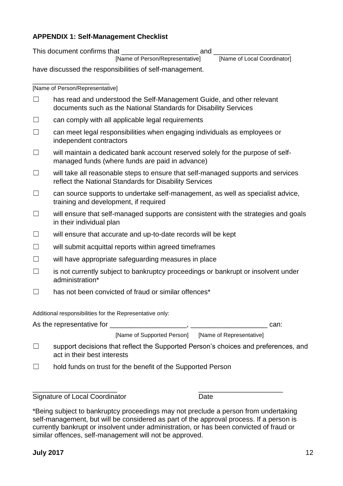#### **APPENDIX 1: Self-Management Checklist**

This document confirms that \_\_\_\_\_\_\_\_\_\_\_\_\_\_\_\_\_\_\_\_ and \_\_\_\_\_\_\_\_\_\_\_\_\_\_\_\_\_\_\_\_

[Name of Person/Representative]

have discussed the responsibilities of self-management.

\_\_\_\_\_\_\_\_\_\_\_\_\_\_\_\_\_\_\_\_ [Name of Person/Representative]

|                                                          | has read and understood the Self-Management Guide, and other relevant<br>documents such as the National Standards for Disability Services  |  |  |
|----------------------------------------------------------|--------------------------------------------------------------------------------------------------------------------------------------------|--|--|
| $\Box$                                                   | can comply with all applicable legal requirements                                                                                          |  |  |
| $\Box$                                                   | can meet legal responsibilities when engaging individuals as employees or<br>independent contractors                                       |  |  |
|                                                          | will maintain a dedicated bank account reserved solely for the purpose of self-<br>managed funds (where funds are paid in advance)         |  |  |
|                                                          | will take all reasonable steps to ensure that self-managed supports and services<br>reflect the National Standards for Disability Services |  |  |
| $\Box$                                                   | can source supports to undertake self-management, as well as specialist advice,<br>training and development, if required                   |  |  |
| $\Box$                                                   | will ensure that self-managed supports are consistent with the strategies and goals<br>in their individual plan                            |  |  |
| $\Box$                                                   | will ensure that accurate and up-to-date records will be kept                                                                              |  |  |
| $\Box$                                                   | will submit acquittal reports within agreed timeframes                                                                                     |  |  |
| $\Box$                                                   | will have appropriate safeguarding measures in place                                                                                       |  |  |
| $\Box$                                                   | is not currently subject to bankruptcy proceedings or bankrupt or insolvent under<br>administration*                                       |  |  |
| $\perp$                                                  | has not been convicted of fraud or similar offences*                                                                                       |  |  |
| Additional responsibilities for the Representative only: |                                                                                                                                            |  |  |
| As the representative for<br>can:                        |                                                                                                                                            |  |  |

[Name of Supported Person] [Name of Representative]

□ support decisions that reflect the Supported Person's choices and preferences, and act in their best interests

☐ hold funds on trust for the benefit of the Supported Person

\_\_\_\_\_\_\_\_\_\_\_\_\_\_\_\_\_\_\_\_\_\_ \_\_\_\_\_\_\_\_\_\_\_\_\_\_\_\_\_\_\_\_\_\_ Signature of Local Coordinator **Date** 

\*Being subject to bankruptcy proceedings may not preclude a person from undertaking self-management, but will be considered as part of the approval process. If a person is currently bankrupt or insolvent under administration, or has been convicted of fraud or similar offences, self-management will not be approved.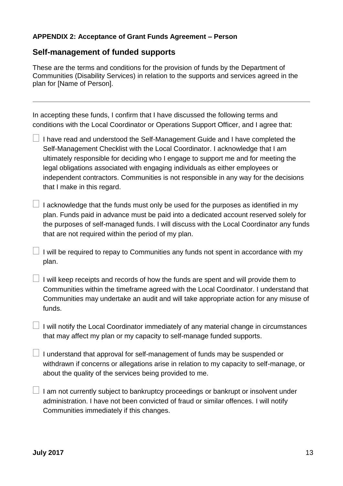#### **APPENDIX 2: Acceptance of Grant Funds Agreement – Person**

# **Self-management of funded supports**

These are the terms and conditions for the provision of funds by the Department of Communities (Disability Services) in relation to the supports and services agreed in the plan for [Name of Person].

In accepting these funds, I confirm that I have discussed the following terms and conditions with the Local Coordinator or Operations Support Officer, and I agree that:

 $\Box$  I have read and understood the Self-Management Guide and I have completed the Self-Management Checklist with the Local Coordinator. I acknowledge that I am ultimately responsible for deciding who I engage to support me and for meeting the legal obligations associated with engaging individuals as either employees or independent contractors. Communities is not responsible in any way for the decisions that I make in this regard.

 $\Box$  I acknowledge that the funds must only be used for the purposes as identified in my plan. Funds paid in advance must be paid into a dedicated account reserved solely for the purposes of self-managed funds. I will discuss with the Local Coordinator any funds that are not required within the period of my plan.

 $\Box$  I will be required to repay to Communities any funds not spent in accordance with my plan.

 $\Box$  I will keep receipts and records of how the funds are spent and will provide them to Communities within the timeframe agreed with the Local Coordinator. I understand that Communities may undertake an audit and will take appropriate action for any misuse of funds.

 $\Box$  I will notify the Local Coordinator immediately of any material change in circumstances that may affect my plan or my capacity to self-manage funded supports.

 $\Box$  I understand that approval for self-management of funds may be suspended or withdrawn if concerns or allegations arise in relation to my capacity to self-manage, or about the quality of the services being provided to me.

 $\Box$  I am not currently subject to bankruptcy proceedings or bankrupt or insolvent under administration. I have not been convicted of fraud or similar offences. I will notify Communities immediately if this changes.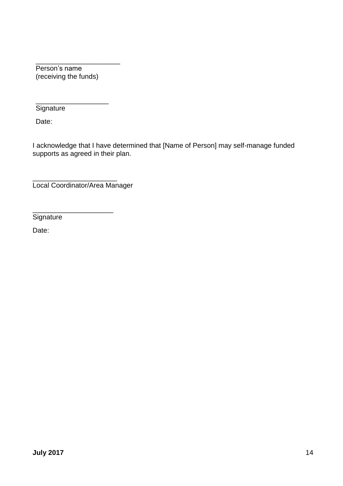\_\_\_\_\_\_\_\_\_\_\_\_\_\_\_\_\_\_\_\_\_\_ Person's name (receiving the funds)

\_\_\_\_\_\_\_\_\_\_\_\_\_\_\_\_\_\_\_ **Signature** 

Date:

I acknowledge that I have determined that [Name of Person] may self-manage funded supports as agreed in their plan.

\_\_\_\_\_\_\_\_\_\_\_\_\_\_\_\_\_\_\_\_\_\_ Local Coordinator/Area Manager

\_\_\_\_\_\_\_\_\_\_\_\_\_\_\_\_\_\_\_\_\_

**Signature** 

Date: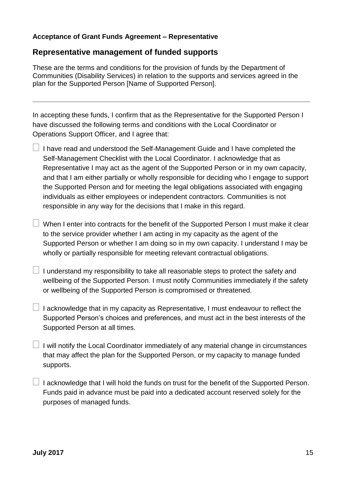#### **Acceptance of Grant Funds Agreement – Representative**

# **Representative management of funded supports**

These are the terms and conditions for the provision of funds by the Department of Communities (Disability Services) in relation to the supports and services agreed in the plan for the Supported Person [Name of Supported Person].

In accepting these funds, I confirm that as the Representative for the Supported Person I have discussed the following terms and conditions with the Local Coordinator or Operations Support Officer, and I agree that:

- $\Box$  I have read and understood the Self-Management Guide and I have completed the Self-Management Checklist with the Local Coordinator. I acknowledge that as Representative I may act as the agent of the Supported Person or in my own capacity, and that I am either partially or wholly responsible for deciding who I engage to support the Supported Person and for meeting the legal obligations associated with engaging individuals as either employees or independent contractors. Communities is not responsible in any way for the decisions that I make in this regard.
- $\Box$  When I enter into contracts for the benefit of the Supported Person I must make it clear to the service provider whether I am acting in my capacity as the agent of the Supported Person or whether I am doing so in my own capacity. I understand I may be wholly or partially responsible for meeting relevant contractual obligations.
- $\Box$  I understand my responsibility to take all reasonable steps to protect the safety and wellbeing of the Supported Person. I must notify Communities immediately if the safety or wellbeing of the Supported Person is compromised or threatened.
- $\Box$  I acknowledge that in my capacity as Representative, I must endeavour to reflect the Supported Person's choices and preferences, and must act in the best interests of the Supported Person at all times.
- $\Box$  I will notify the Local Coordinator immediately of any material change in circumstances that may affect the plan for the Supported Person, or my capacity to manage funded supports.
- $\Box$  I acknowledge that I will hold the funds on trust for the benefit of the Supported Person. Funds paid in advance must be paid into a dedicated account reserved solely for the purposes of managed funds.